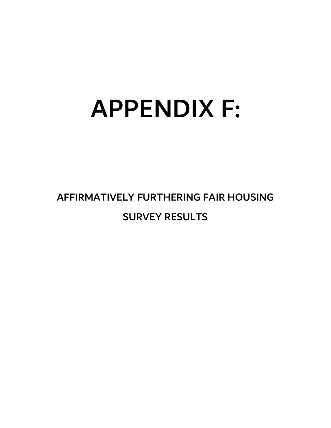## APPENDIX F:

## AFFIRMATIVELY FURTHERING FAIR HOUSING SURVEY RESULTS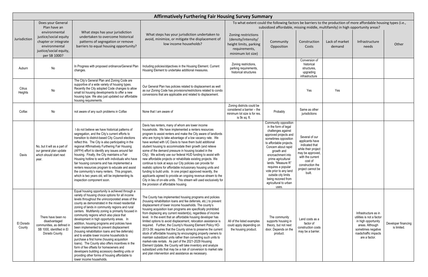|                     |                                                                                                                           |                                                                                                                                                                                                                                                                                                                                                                                                                                                                                                                                                                                                                                                                                                                                                                                                                                                                                       | <b>Affirmatively Furthering Fair Housing Survey Summary</b>                                                                                                                                                                                                                                                                                                                                                                                                                                                                                                                                                                                                                                                                                                                                                                                                                                                                                                                       |                                                                                                            |                                                                                                                                                                                                                                                                                                                                                                                     |                                                                                                                                                                                  |
|---------------------|---------------------------------------------------------------------------------------------------------------------------|---------------------------------------------------------------------------------------------------------------------------------------------------------------------------------------------------------------------------------------------------------------------------------------------------------------------------------------------------------------------------------------------------------------------------------------------------------------------------------------------------------------------------------------------------------------------------------------------------------------------------------------------------------------------------------------------------------------------------------------------------------------------------------------------------------------------------------------------------------------------------------------|-----------------------------------------------------------------------------------------------------------------------------------------------------------------------------------------------------------------------------------------------------------------------------------------------------------------------------------------------------------------------------------------------------------------------------------------------------------------------------------------------------------------------------------------------------------------------------------------------------------------------------------------------------------------------------------------------------------------------------------------------------------------------------------------------------------------------------------------------------------------------------------------------------------------------------------------------------------------------------------|------------------------------------------------------------------------------------------------------------|-------------------------------------------------------------------------------------------------------------------------------------------------------------------------------------------------------------------------------------------------------------------------------------------------------------------------------------------------------------------------------------|----------------------------------------------------------------------------------------------------------------------------------------------------------------------------------|
|                     | Does your General<br>Plan have an                                                                                         |                                                                                                                                                                                                                                                                                                                                                                                                                                                                                                                                                                                                                                                                                                                                                                                                                                                                                       |                                                                                                                                                                                                                                                                                                                                                                                                                                                                                                                                                                                                                                                                                                                                                                                                                                                                                                                                                                                   |                                                                                                            | To what extent could the following factors be barriers to<br>subsidized affordable, missing middle, n                                                                                                                                                                                                                                                                               |                                                                                                                                                                                  |
| Jurisdiction        | environmental<br>justice/social equity<br>chapter or integrate<br>environmental<br>justice/social equity,<br>per SB 1000? | What steps has your jurisdiction<br>undertaken to overcome historical<br>patterns of segregation or remove<br>barriers to equal housing opportunity?                                                                                                                                                                                                                                                                                                                                                                                                                                                                                                                                                                                                                                                                                                                                  | What steps has your jurisdiction undertaken to<br>avoid, minimize, or mitigate the displacement of<br>low income households?                                                                                                                                                                                                                                                                                                                                                                                                                                                                                                                                                                                                                                                                                                                                                                                                                                                      | Zoning restrictions<br>(density/intensity/<br>height limits, parking<br>requirements,<br>minimum lot size) | Community<br>Opposition                                                                                                                                                                                                                                                                                                                                                             | Construction<br>Costs                                                                                                                                                            |
| Auburn              | No                                                                                                                        | In Progress with proposed ordinance/General Plan<br>changes.                                                                                                                                                                                                                                                                                                                                                                                                                                                                                                                                                                                                                                                                                                                                                                                                                          | Including policies/objectives in the Housing Element. Current<br>Housing Element to undertake additional measures.                                                                                                                                                                                                                                                                                                                                                                                                                                                                                                                                                                                                                                                                                                                                                                                                                                                                | Zoning restrictions,<br>parking requirements,<br>historical structures                                     |                                                                                                                                                                                                                                                                                                                                                                                     | Conversion of<br>historical<br>structures,<br>upgrading<br>infrastructure                                                                                                        |
| Citrus<br>Heights   | No                                                                                                                        | The City's General Plan and Zoning Code are<br>supportive of a wide variety of housing types.<br>Recently the City adopted Code changes to allow<br>small lot housing developments to offer a new<br>housing type. We also just updated our affordable<br>housing requirements.                                                                                                                                                                                                                                                                                                                                                                                                                                                                                                                                                                                                       | Our General Plan has policies related to displacement as well<br>as our Zoning Code has provisions/restrictions related to condo<br>conversions that are applicable and related to displacement.                                                                                                                                                                                                                                                                                                                                                                                                                                                                                                                                                                                                                                                                                                                                                                                  |                                                                                                            |                                                                                                                                                                                                                                                                                                                                                                                     | Yes                                                                                                                                                                              |
| Colfax              | No                                                                                                                        | not aware of any such problems in Colfax                                                                                                                                                                                                                                                                                                                                                                                                                                                                                                                                                                                                                                                                                                                                                                                                                                              | None that I am aware of                                                                                                                                                                                                                                                                                                                                                                                                                                                                                                                                                                                                                                                                                                                                                                                                                                                                                                                                                           | Zoning districts could be<br>considered a barrier - the<br>minimum lot size is for res.<br>is 5k sq. ft.   | Probably                                                                                                                                                                                                                                                                                                                                                                            | Same as other<br>jurisdictions                                                                                                                                                   |
| Davis               | No, but it will as a part of<br>our general plan update<br>which should start next<br>year.                               | I do not believe we have historical patterns of<br>segregation, and the City's current efforts to<br>transition to district-based City Council elections<br>reflect this. The City is also participating in the<br>regional Affirmatively Furthering Fair Housing<br>(AFFH) effort to identify any issues around fair<br>housing. Finally, the City maintains a Fair<br>Housing hotline to work with individuals who have<br>fair housing concerns and has implemented a<br>renters resources program to educate and assist<br>the community's many renters. This program,<br>which is two years old, will be implementing its<br>inspection component soon.                                                                                                                                                                                                                          | Davis has renters, many of whom are lower income<br>households. We have implemented a renters resources<br>program to assist renters and make the City aware of landlords<br>who are trying to take advantage of a low vacancy rate. We<br>have worked with UC Davis to have them build additional<br>student housing to accommodate their growth (and relieve<br>some of the demand pressure in housing located in the<br>City). We actively use our federal HUD funding to assist with<br>new affordable projects or rehabilitate existing projects. We<br>continue to look at ways our City policies can provide for<br>realistic options for affordable inclusionary housing units and<br>funding to build units. In one project approved recently, the<br>applicants agreed to provide an ongoing revenue stream to the<br>City in lieu of on-site units. This stream will used exclusively for<br>the provision of affordable housing.                                      |                                                                                                            | Community opposition<br>in the form of legal<br>challenges against<br>approved projects and<br>sometimes opposition<br>to affordable projects.<br>Concern about rapid<br>growth and<br>encroachment into<br>prime agricultural<br>lands. "Measure R"<br>requires a popular<br>vote prior to any land<br>outside city limits<br>being rezoned from<br>agricultural to urban<br>uses. | Several of our<br>applicants have<br>indicated that<br>while their project<br>may be approved,<br>with the current<br>cost of<br>construction the<br>project cannot be<br>built. |
| El Dorado<br>County | There have been no<br>disadvantaged<br>communities, as defined in<br>SB 1000, identified in El<br>Dorado County.          | Equal housing opportunity is achieved through a<br>variety of housing choice options for all income<br>levels throughout the unincorporated areas of the<br>county as demonstrated in the mixed residential<br>zoning of lands in community regions and rural<br>centers. Multifamily zoning is primarily focused in<br>community regions which also place that<br>development in high opportunity areas. In<br>addition, housing programs and policies have<br>been implemented to prevent displacement<br>(housing rehabilitation loans and fee deferrals)<br>and to enable lower income households to<br>purchase a first home (housing acquisition<br>loans). The County also offers incentives in the<br>form of fee offsets for homeowners and<br>developers building accessory dwelling units or<br>providing other forms of housing affordable to<br>lower income households. | The County has implemented housing programs and policies<br>(housing rehabilitation loans and fee deferrals, etc.) to prevent<br>displacement of lower income households. The county's<br>housing acquisition loan programs are specifically prohibited<br>from displacing any current resident(s), regardless of income<br>level. In the event that an affordable housing developer has<br>limited options to avoid displacement, relocation assistance is<br>required. Further, the County's Housing Element Policy HO-<br>2013-39; requires that the County strive to preserve the current<br>stock of affordable housing by encouraging property owners to<br>maintain subsidized units rather than converting such units to<br>market-rate rentals. As part of the 2021-2029 Housing<br>Element Update, the County will take inventory and analyze<br>subsidized units that may be a risk of conversion to market rate<br>and plan intervention and assistance as necessary. | All of the listed examples<br>could apply depending on<br>the housing product.                             | The community<br>supports housing in<br>theory, but not next<br>door. Depends on the<br>product.                                                                                                                                                                                                                                                                                    | Land costs as a<br>factor of<br>construction costs<br>may be a barrier.                                                                                                          |

| g Survey Summary                                                                                   |                                                                                                                                                                                                                                                                                                                                                                                     |                                                                                                                                                                                  |                          |                                                                                                                                                             |                                    |
|----------------------------------------------------------------------------------------------------|-------------------------------------------------------------------------------------------------------------------------------------------------------------------------------------------------------------------------------------------------------------------------------------------------------------------------------------------------------------------------------------|----------------------------------------------------------------------------------------------------------------------------------------------------------------------------------|--------------------------|-------------------------------------------------------------------------------------------------------------------------------------------------------------|------------------------------------|
|                                                                                                    | To what extent could the following factors be barriers to the production of more affordable housing types (i.e.,<br>subsidized affordable, missing middle, multifamily) in high opportunity areas?                                                                                                                                                                                  |                                                                                                                                                                                  |                          |                                                                                                                                                             |                                    |
| ning restrictions<br>ensity/intensity/<br>ght limits, parking<br>requirements,<br>inimum lot size) | Community<br>Opposition                                                                                                                                                                                                                                                                                                                                                             | Construction<br>Costs                                                                                                                                                            | Lack of market<br>demand | Infrastructure<br>needs                                                                                                                                     | Other                              |
| oning restrictions,<br>rking requirements,<br>istorical structures                                 |                                                                                                                                                                                                                                                                                                                                                                                     | Conversion of<br>historical<br>structures,<br>upgrading<br>infrastructure                                                                                                        |                          |                                                                                                                                                             |                                    |
|                                                                                                    |                                                                                                                                                                                                                                                                                                                                                                                     | Yes                                                                                                                                                                              | Yes                      |                                                                                                                                                             |                                    |
| ing districts could be<br>sidered a barrier - the<br>num lot size is for res.<br>is 5k sq. ft.     | Probably                                                                                                                                                                                                                                                                                                                                                                            | Same as other<br>jurisdictions                                                                                                                                                   |                          |                                                                                                                                                             |                                    |
|                                                                                                    | Community opposition<br>in the form of legal<br>challenges against<br>approved projects and<br>sometimes opposition<br>to affordable projects.<br>Concern about rapid<br>growth and<br>encroachment into<br>prime agricultural<br>lands. "Measure R"<br>requires a popular<br>vote prior to any land<br>outside city limits<br>being rezoned from<br>agricultural to urban<br>uses. | Several of our<br>applicants have<br>indicated that<br>while their project<br>may be approved,<br>with the current<br>cost of<br>construction the<br>project cannot be<br>built. |                          |                                                                                                                                                             |                                    |
| of the listed examples<br>d apply depending on<br>e housing product.                               | The community<br>supports housing in<br>theory, but not next<br>door. Depends on the<br>product.                                                                                                                                                                                                                                                                                    | Land costs as a<br>factor of<br>construction costs<br>may be a barrier.                                                                                                          |                          | Infrastructure as in<br>utilities is not a factor<br>in high opportunity<br>areas. Although<br>sometimes negative<br>roads/traffic impacts<br>are a factor. | Developer financing<br>is limited. |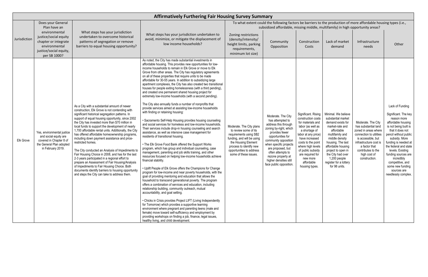|              |                                                                                                                                 |                                                                                                                                                                                                                                                                                                                                                                                                                                                                                                                                                                                                                                                                                                                                                                                                                                                               | <b>Affirmatively Furthering Fair Housing Survey Summary</b>                                                                                                                                                                                                                                                                                                                                                                                                                                                                                                                                                                                                                                                                                                                                                                                                                                                                                                                                                                                                                                                                                                                                                                                                                                                                                                                                                                                                                                                                                                                                                                                                                                                                                                                                                                                                                                                                                                                                                                                                                                                                                 |                                                                                                                                                                                                                  |                                                                                                                                                                                                                                                                                                        |                                                                                                                                                                                                                                                                               |                                                                                                                                                                                                                                                                                       |                                                                                                                                                                                                                       |                                                                                                                                                                                                                                                                                                                                                             |
|--------------|---------------------------------------------------------------------------------------------------------------------------------|---------------------------------------------------------------------------------------------------------------------------------------------------------------------------------------------------------------------------------------------------------------------------------------------------------------------------------------------------------------------------------------------------------------------------------------------------------------------------------------------------------------------------------------------------------------------------------------------------------------------------------------------------------------------------------------------------------------------------------------------------------------------------------------------------------------------------------------------------------------|---------------------------------------------------------------------------------------------------------------------------------------------------------------------------------------------------------------------------------------------------------------------------------------------------------------------------------------------------------------------------------------------------------------------------------------------------------------------------------------------------------------------------------------------------------------------------------------------------------------------------------------------------------------------------------------------------------------------------------------------------------------------------------------------------------------------------------------------------------------------------------------------------------------------------------------------------------------------------------------------------------------------------------------------------------------------------------------------------------------------------------------------------------------------------------------------------------------------------------------------------------------------------------------------------------------------------------------------------------------------------------------------------------------------------------------------------------------------------------------------------------------------------------------------------------------------------------------------------------------------------------------------------------------------------------------------------------------------------------------------------------------------------------------------------------------------------------------------------------------------------------------------------------------------------------------------------------------------------------------------------------------------------------------------------------------------------------------------------------------------------------------------|------------------------------------------------------------------------------------------------------------------------------------------------------------------------------------------------------------------|--------------------------------------------------------------------------------------------------------------------------------------------------------------------------------------------------------------------------------------------------------------------------------------------------------|-------------------------------------------------------------------------------------------------------------------------------------------------------------------------------------------------------------------------------------------------------------------------------|---------------------------------------------------------------------------------------------------------------------------------------------------------------------------------------------------------------------------------------------------------------------------------------|-----------------------------------------------------------------------------------------------------------------------------------------------------------------------------------------------------------------------|-------------------------------------------------------------------------------------------------------------------------------------------------------------------------------------------------------------------------------------------------------------------------------------------------------------------------------------------------------------|
|              | Does your General<br>Plan have an                                                                                               |                                                                                                                                                                                                                                                                                                                                                                                                                                                                                                                                                                                                                                                                                                                                                                                                                                                               |                                                                                                                                                                                                                                                                                                                                                                                                                                                                                                                                                                                                                                                                                                                                                                                                                                                                                                                                                                                                                                                                                                                                                                                                                                                                                                                                                                                                                                                                                                                                                                                                                                                                                                                                                                                                                                                                                                                                                                                                                                                                                                                                             |                                                                                                                                                                                                                  | To what extent could the following factors be barriers to the production of more affordable housing types (i.e.,<br>subsidized affordable, missing middle, multifamily) in high opportunity areas?                                                                                                     |                                                                                                                                                                                                                                                                               |                                                                                                                                                                                                                                                                                       |                                                                                                                                                                                                                       |                                                                                                                                                                                                                                                                                                                                                             |
| Jurisdiction | environmental<br>justice/social equity<br>chapter or integrate<br>environmental<br>justice/social equity,<br>per SB 1000?       | What steps has your jurisdiction<br>undertaken to overcome historical<br>patterns of segregation or remove<br>barriers to equal housing opportunity?                                                                                                                                                                                                                                                                                                                                                                                                                                                                                                                                                                                                                                                                                                          | What steps has your jurisdiction undertaken to<br>avoid, minimize, or mitigate the displacement of<br>low income households?                                                                                                                                                                                                                                                                                                                                                                                                                                                                                                                                                                                                                                                                                                                                                                                                                                                                                                                                                                                                                                                                                                                                                                                                                                                                                                                                                                                                                                                                                                                                                                                                                                                                                                                                                                                                                                                                                                                                                                                                                | Zoning restrictions<br>(density/intensity/<br>height limits, parking<br>requirements,<br>minimum lot size)                                                                                                       | Community<br>Opposition                                                                                                                                                                                                                                                                                | Construction<br>Costs                                                                                                                                                                                                                                                         | Lack of market<br>demand                                                                                                                                                                                                                                                              | Infrastructure<br>needs                                                                                                                                                                                               | Other                                                                                                                                                                                                                                                                                                                                                       |
| Elk Grove    | Yes, environmental justice<br>and social equity are<br>covered in Chapter 8 of<br>the General Plan adopted<br>in February 2019. | As a City with a substantial amount of newer<br>construction, Elk Grove is not contending with<br>significant historical segregation patterns. In<br>support of equal housing opportunity, since 2002<br>the City has invested more than \$70 million in<br>local funds to support the development of nearly<br>1,700 affordable rental units. Additionally, the City<br>has offered affordable homeownership programs<br>including down payment assistance and price-<br>restricted homes.<br>The City conducted an Analysis of Impediments to<br>Fair Housing Choice in 2008, and has for the last<br>2-3 years participated in a regional effort to<br>prepare an Assessment of Fair Housing/Analysis<br>of Impediments to Fair Housing Choice. Both<br>documents identify barriers to housing opportunity<br>and steps the City can take to address them. | As noted, the City has made substantial investments in<br>affordable housing. This provides new opportunities for low-<br>income households to remain in Elk Grove or move to Elk<br>Grove from other areas. The City has regulatory agreements<br>on all of these properties that require units to be made<br>affordable for 30-55 years. In addition to subsidizing large<br>apartment complexes, the City has also created two transitional<br>houses for people exiting homelessness (with a third pending).<br>and created one permanent shared housing project for<br>extremely low-income households (with a second pending).<br>The City also annually funds a number of nonprofits that<br>provide services aimed at assisting low-income households<br>with finding or retaining housing:<br>• Sacramento Self-Help Housing provides housing counseling<br>and social services for homeless and low-income households.<br>Their services include drop-in housing counseling and search<br>assistance, as well as intensive case management for<br>residents of transitional housing.<br>• The Elk Grove Food Bank offered the Support Works<br>program, which has group and individual counseling, case<br>management, parenting and job skills training, and other<br>resources focused on helping low-income households achieve<br>financial stability.<br>• Uplift People of Elk Grove offers the Champions for Change<br>program for low-income and near poverty households, with the<br>goal of providing mentoring and education that allows the<br>household to transcend generational poverty. The program<br>offers a combination of services and education, including<br>relationship building, community outreach, mutual<br>accountability, and goal setting.<br>• Chicks in Crisis provides Project LIFT (Living Independently<br>for Tomorrow) which provides a supportive learning<br>environment where pregnant and parenting teens (male and<br>female) move toward self-sufficiency and employment by<br>providing workshops on finding a job, finance, legal issues,<br>healthy living, and child development. | Moderate. The City plans<br>to review some of its<br>requirements using SB2<br>funding, and will be using<br>the Housing Element<br>process to identify new<br>opportunities to address<br>some of these issues. | Moderate. The City<br>has attempted to<br>address this through<br>zoning by-right, which<br>provides fewer<br>opportunities for<br>community opposition<br>when specific projects<br>are proposed, but<br>often attempts to<br>rezone property at<br>higher densities still<br>face public opposition. | Significant. Rising<br>construction costs<br>for materials and<br>labor (as well as<br>a shortage of<br>labor at any price)<br>have increased<br>costs to the point<br>where high levels<br>of public subsidy<br>are required for<br>new more<br>affordable<br>housing types. | Minimal. We believe<br>substantial market<br>demand exists for<br>market-rate and<br>affordable<br>multifamily and<br>middle density<br>housing. The last<br>affordable housing<br>project to open in<br>the City had over<br>1,200 people<br>register for a lottery<br>for 98 units. | Moderate. The City<br>has substantial land<br>zoned in areas where<br>connection to utilities<br>is accessible, but<br>infrastructure cost is<br>a factor that<br>contributes to the<br>high cost of<br>construction. | Lack of Funding<br>Significant. The key<br>reason more<br>affordable housing<br>is not being built is<br>that it does not<br>pencil without public<br>subsidy. More<br>funding is needed at<br>the federal and state<br>levels. Existing<br>funding sources are<br>incredibly<br>competitive, and<br>some new funding<br>sources are<br>needlessly complex. |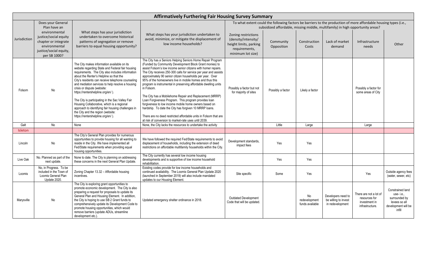|              |                                                                                                                           |                                                                                                                                                                                                                                                                                                                                                                                                                                                                                                                                                                                                               | <b>Affirmatively Furthering Fair Housing Survey Summary</b>                                                                                                                                                                                                                                                                                                                                                                                                                                                                                                                                                                                                                                                                                                                                                                              |                                                                                                            |                                                                                                                                                                                                    |                                        |                                                                |                                                                             |                                                                                                  |
|--------------|---------------------------------------------------------------------------------------------------------------------------|---------------------------------------------------------------------------------------------------------------------------------------------------------------------------------------------------------------------------------------------------------------------------------------------------------------------------------------------------------------------------------------------------------------------------------------------------------------------------------------------------------------------------------------------------------------------------------------------------------------|------------------------------------------------------------------------------------------------------------------------------------------------------------------------------------------------------------------------------------------------------------------------------------------------------------------------------------------------------------------------------------------------------------------------------------------------------------------------------------------------------------------------------------------------------------------------------------------------------------------------------------------------------------------------------------------------------------------------------------------------------------------------------------------------------------------------------------------|------------------------------------------------------------------------------------------------------------|----------------------------------------------------------------------------------------------------------------------------------------------------------------------------------------------------|----------------------------------------|----------------------------------------------------------------|-----------------------------------------------------------------------------|--------------------------------------------------------------------------------------------------|
|              | Does your General<br>Plan have an                                                                                         |                                                                                                                                                                                                                                                                                                                                                                                                                                                                                                                                                                                                               |                                                                                                                                                                                                                                                                                                                                                                                                                                                                                                                                                                                                                                                                                                                                                                                                                                          |                                                                                                            | To what extent could the following factors be barriers to the production of more affordable housing types (i.e.,<br>subsidized affordable, missing middle, multifamily) in high opportunity areas? |                                        |                                                                |                                                                             |                                                                                                  |
| Jurisdiction | environmental<br>justice/social equity<br>chapter or integrate<br>environmental<br>justice/social equity,<br>per SB 1000? | What steps has your jurisdiction<br>undertaken to overcome historical<br>patterns of segregation or remove<br>barriers to equal housing opportunity?                                                                                                                                                                                                                                                                                                                                                                                                                                                          | What steps has your jurisdiction undertaken to<br>avoid, minimize, or mitigate the displacement of<br>low income households?                                                                                                                                                                                                                                                                                                                                                                                                                                                                                                                                                                                                                                                                                                             | Zoning restrictions<br>(density/intensity/<br>height limits, parking<br>requirements,<br>minimum lot size) | Community<br>Opposition                                                                                                                                                                            | Construction<br>Costs                  | Lack of market<br>demand                                       | Infrastructure<br>needs                                                     | Other                                                                                            |
| Folsom       | No                                                                                                                        | The City makes information available on its<br>website regarding State and Federal fair housing<br>requirements. The City also includes information<br>about the Renter's Helpline so that the<br>City's residents can receive telephone counseling<br>and mediation services to help resolve a housing<br>crisis or dispute (website:<br>https://rentershelpline.org/en/).<br>The City is participating in the Sac Valley Fair<br>Housing Collaborative, which is a regional<br>approach to identifying fair housing challenges in<br>the City and the region (website:<br>https://rentershelpline.org/en/). | The City has a Seniors Helping Seniors Home Repair Program<br>(Funded by Community Development Block Grant monies) to<br>assist Folsom's low income senior citizens with homer repairs.<br>The City receives 250-300 calls for service per year and assists<br>approximately 90 senior citizen households per year. Over<br>95% of the homeowners live in mobile homes and thus this<br>program is instrumental in preserving affordable dwelling units<br>in Folsom.<br>The City has a Mobilehome Repair and Replacement (MRRP)<br>Loan Forgiveness Program. This program provides loan<br>forgiveness to low income mobile home owners based on<br>hardship. To date the City has forgiven 10 MRRP loans.<br>There are no deed restricted affordable units in Folsom that are<br>at risk of conversion to market-rate uses until 2039. | Possibly a factor but not<br>for majority of sites                                                         | Possibly a factor                                                                                                                                                                                  | Likely a factor                        |                                                                | Possibly a factor for<br>some areas of City                                 |                                                                                                  |
| Galt         | No                                                                                                                        | None                                                                                                                                                                                                                                                                                                                                                                                                                                                                                                                                                                                                          | None, the City lacks the resources to undertake the activity                                                                                                                                                                                                                                                                                                                                                                                                                                                                                                                                                                                                                                                                                                                                                                             |                                                                                                            | Little                                                                                                                                                                                             | Large                                  |                                                                | Large                                                                       |                                                                                                  |
| Isleton      |                                                                                                                           |                                                                                                                                                                                                                                                                                                                                                                                                                                                                                                                                                                                                               |                                                                                                                                                                                                                                                                                                                                                                                                                                                                                                                                                                                                                                                                                                                                                                                                                                          |                                                                                                            |                                                                                                                                                                                                    |                                        |                                                                |                                                                             |                                                                                                  |
| Lincoln      | No                                                                                                                        | The City's General Plan provides for numerous<br>opportunities to provide housing for all wanting to<br>reside in the City. We have implemented all<br>Fed/State requirements when providing equal<br>housing opportunities.                                                                                                                                                                                                                                                                                                                                                                                  | We have followed the required Fed/State requirements to avoid<br>displacement of households, including the extension of deed<br>restrictions on affordable multifamily households within the City.                                                                                                                                                                                                                                                                                                                                                                                                                                                                                                                                                                                                                                       | Development standards,<br>impact fees                                                                      | Yes                                                                                                                                                                                                | Yes                                    |                                                                |                                                                             |                                                                                                  |
| Live Oak     | No. Planned as part of the<br>next update.                                                                                | None to date. The City is planning on addressing<br>these concerns in the next General Plan Update.                                                                                                                                                                                                                                                                                                                                                                                                                                                                                                           | The City currently has several low income housing<br>developments and is supportive of low income household<br>rehabilitation.                                                                                                                                                                                                                                                                                                                                                                                                                                                                                                                                                                                                                                                                                                           |                                                                                                            | Yes                                                                                                                                                                                                | Yes                                    |                                                                |                                                                             |                                                                                                  |
| Loomis       | No, in Progress. To be<br>included in the Town of<br>Loomis General Plan<br>Update 2020.                                  | Zoning Chapter 13.32 - Affordable housing<br>incentives.                                                                                                                                                                                                                                                                                                                                                                                                                                                                                                                                                      | Existing codes provide for low income households and<br>continued availability. The Loomis General Plan Update 2020<br>(launched in September 2019) will also include mandated<br>updates to our Housing Element.                                                                                                                                                                                                                                                                                                                                                                                                                                                                                                                                                                                                                        | Site specific                                                                                              | Some                                                                                                                                                                                               | Yes                                    |                                                                | Yes                                                                         | Outside agency fees<br>(water, sewer, etc)                                                       |
| Marysville   | No                                                                                                                        | The City is exploring grant opportunities to<br>promote economic development. The City is also<br>preparing a request for proposals to update its<br>General Plan and Housing Element. In addition,<br>the City is hoping to use SB 2 Grant funds to<br>comprehensively update its Development Code to<br>promote housing opportunities, which would<br>remove barriers (update ADUs, streamline<br>development etc.).                                                                                                                                                                                        | Updated emergency shelter ordinance in 2018.                                                                                                                                                                                                                                                                                                                                                                                                                                                                                                                                                                                                                                                                                                                                                                                             | <b>Outdated Development</b><br>Code that will be updated.                                                  |                                                                                                                                                                                                    | No<br>redevelopment<br>funds available | Developers need to<br>be willing to invest<br>in redevelopment | There are not a lot of<br>resources for<br>investment in<br>infrastructure. | Constrained land<br>use-i.e.,<br>surrounded by<br>levees so all<br>development will be<br>infill |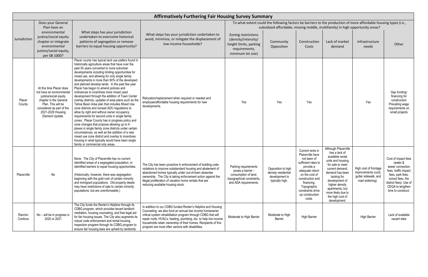|                   | <b>Affirmatively Furthering Fair Housing Survey Summary</b>                                                                                                                                         |                                                                                                                                                                                                                                                                                                                                                                                                                                                                                                                                                                                                                                                                                                                                                                                                                                                                                                                                                                                                                                                                                                                               |                                                                                                                                                                                                                                                                                                                                                                                    |                                                                                                                          |                                                                                                                  |                                                                                                                                                                                                                                 |                                                                                                                                                                                                                                                                         |                                                                                         |                                                                                                                                                                                          |
|-------------------|-----------------------------------------------------------------------------------------------------------------------------------------------------------------------------------------------------|-------------------------------------------------------------------------------------------------------------------------------------------------------------------------------------------------------------------------------------------------------------------------------------------------------------------------------------------------------------------------------------------------------------------------------------------------------------------------------------------------------------------------------------------------------------------------------------------------------------------------------------------------------------------------------------------------------------------------------------------------------------------------------------------------------------------------------------------------------------------------------------------------------------------------------------------------------------------------------------------------------------------------------------------------------------------------------------------------------------------------------|------------------------------------------------------------------------------------------------------------------------------------------------------------------------------------------------------------------------------------------------------------------------------------------------------------------------------------------------------------------------------------|--------------------------------------------------------------------------------------------------------------------------|------------------------------------------------------------------------------------------------------------------|---------------------------------------------------------------------------------------------------------------------------------------------------------------------------------------------------------------------------------|-------------------------------------------------------------------------------------------------------------------------------------------------------------------------------------------------------------------------------------------------------------------------|-----------------------------------------------------------------------------------------|------------------------------------------------------------------------------------------------------------------------------------------------------------------------------------------|
|                   | Does your General                                                                                                                                                                                   |                                                                                                                                                                                                                                                                                                                                                                                                                                                                                                                                                                                                                                                                                                                                                                                                                                                                                                                                                                                                                                                                                                                               |                                                                                                                                                                                                                                                                                                                                                                                    |                                                                                                                          | To what extent could the following factors be barriers to the production of more affordable housing types (i.e., |                                                                                                                                                                                                                                 |                                                                                                                                                                                                                                                                         |                                                                                         |                                                                                                                                                                                          |
| Jurisdiction      | Plan have an<br>environmental<br>justice/social equity<br>chapter or integrate<br>environmental<br>justice/social equity,<br>per SB 1000?                                                           | What steps has your jurisdiction<br>undertaken to overcome historical<br>patterns of segregation or remove<br>barriers to equal housing opportunity?                                                                                                                                                                                                                                                                                                                                                                                                                                                                                                                                                                                                                                                                                                                                                                                                                                                                                                                                                                          | What steps has your jurisdiction undertaken to<br>avoid, minimize, or mitigate the displacement of<br>low income households?                                                                                                                                                                                                                                                       | Zoning restrictions<br>(density/intensity/<br>height limits, parking<br>requirements,<br>minimum lot size)               | subsidized affordable, missing middle, multifamily) in high opportunity areas?<br>Community<br>Opposition        | Construction<br>Costs                                                                                                                                                                                                           | Lack of market<br>demand                                                                                                                                                                                                                                                | Infrastructure<br>needs                                                                 | Other                                                                                                                                                                                    |
| Placer<br>County  | At this time Placer does<br>not have an environmental<br>justice/social equity<br>chapter in the General<br>Plan. This will be<br>considered as part of the<br>2021-2029 Housing<br>Element Update. | Placer county has typical land use patters found in<br>historically agriculture areas that have over the<br>past 50 years converted to more suburban<br>developments including limiting opportunities for<br>mixed use, and allowing for only single family<br>developments in more than 90% of the developed<br>and planned develop lands. In the past few year<br>Placer has begun to amend policies and<br>ordinances to incentives more mixed used<br>development through the addition of Town Center<br>overlay districts, updates of area plans such as the<br>Tahoe Basin Area plan that includes Mixed Use<br>zone districts and revised ADU regulations to<br>allow by right and without owner occupancy<br>requirements for second units in single family<br>zones. Placer County has in progress policy and<br>zone changes that propose allowing up to 4-<br>plexes in single family zone districts under certain<br>circumstances, as well as the addition of a new<br>mixed use zone district and overlay to incentives<br>housing in what typically would have been single<br>family or commercial only areas. | Relocation/replacement when required or needed and<br>employee/affordable housing requirements for new<br>developments.                                                                                                                                                                                                                                                            | Yes                                                                                                                      | Yes                                                                                                              | Yes                                                                                                                                                                                                                             |                                                                                                                                                                                                                                                                         | Yes                                                                                     | Gap funding/<br>financing for<br>construction<br>Prevailing wage<br>requirements on<br>small projects                                                                                    |
| Placerville       | No                                                                                                                                                                                                  | None. The City of Placerville has no current<br>identified areas of a segregated population, or<br>identified barriers to equal housing opportunities.<br>(Historically, however, there was segregation<br>beginning with the gold rush of certain minority<br>and immigrant populations. Old property deeds<br>may have restrictions of sale to certain minority<br>populations, but are unenforceable.)                                                                                                                                                                                                                                                                                                                                                                                                                                                                                                                                                                                                                                                                                                                     | The City has been proactive in enforcement of building code<br>violations to improve substandard housing and abatement of<br>abandoned homes typically under out-of-town absentee<br>ownership. The City is taking enforcement action against the<br>illegal proliferation of vacation home rentals that are<br>reducing available housing stock.                                  | Parking requirements<br>poses a barrier -<br>consumption of land,<br>topographical constraints,<br>and ADA requirements. | Opposition to high<br>density residential<br>development is<br>typically high.                                   | Current rents in<br>Placerville have<br>not been of<br>sufficient rates to<br>provide a<br>adequate return<br>on the cost of<br>construction and<br>financing.<br>Topographic<br>constraints drive<br>up construction<br>costs. | Although Placerville<br>has a lack of<br>available rental<br>units and housing<br>for sale to meet<br>current demand<br>demand has been<br>lacking for<br>development of<br>higher density<br>apartments, but<br>more likely due to<br>the high cost of<br>development. | High cost of frontage<br>improvements (curb,<br>gutter sidewalk, and<br>road widening). | Cost of impact fees<br>(water &<br>sewer connection<br>fees, traffic impact<br>fees, park fees,<br>school fees, fire<br>district fees). Use of<br>CEQA to lengthen<br>time to construct. |
| Rancho<br>Cordova | No – will be in progress in<br>2020 or 2021                                                                                                                                                         | The City funds the Renter's Helpline through its<br>CDBG program, which provides tenant landlord<br>mediation, housing counseling, and free legal aid<br>for fair housing issues. The City also augments its<br>robust code enforcement and rental housing<br>inspection program through its CDBG program to<br>ensure fair housing laws are upheld by landlords.                                                                                                                                                                                                                                                                                                                                                                                                                                                                                                                                                                                                                                                                                                                                                             | In addition to our CDBG funded Renter's Helpline and Housing<br>Counseling, we also fund an annual low income homeowner<br>critical system rehabilitation program through CDBG that will<br>repair roofs, HVACs, heating, plumbing, etc. to help low income<br>households retain ownership of their homes. Recipients of this<br>program are most often seniors with disabilities. | Moderate to High Barrier                                                                                                 | Moderate to High<br>Barrier                                                                                      | <b>High Barrier</b>                                                                                                                                                                                                             |                                                                                                                                                                                                                                                                         | <b>High Barrier</b>                                                                     | Lack of available<br>vacant sites                                                                                                                                                        |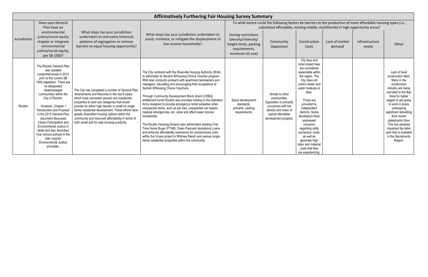|              |                                                                                                                                                                                                                                                                                                                                                                                                                                                                                                        |                                                                                                                                                                                                                                                                                                                                                                                                                                                                | <b>Affirmatively Furthering Fair Housing Survey Summary</b>                                                                                                                                                                                                                                                                                                                                                                                                                                                                                                                                                                                                                                                                                                                                                                                                                                                                              |                                                                                                            |                                                                                                                                                                                                    |                                                                                                                                                                                                                                                                                                                                                                                                                 |                          |                         |                                                                                                                                                                                                                                                                                                                                                                   |
|--------------|--------------------------------------------------------------------------------------------------------------------------------------------------------------------------------------------------------------------------------------------------------------------------------------------------------------------------------------------------------------------------------------------------------------------------------------------------------------------------------------------------------|----------------------------------------------------------------------------------------------------------------------------------------------------------------------------------------------------------------------------------------------------------------------------------------------------------------------------------------------------------------------------------------------------------------------------------------------------------------|------------------------------------------------------------------------------------------------------------------------------------------------------------------------------------------------------------------------------------------------------------------------------------------------------------------------------------------------------------------------------------------------------------------------------------------------------------------------------------------------------------------------------------------------------------------------------------------------------------------------------------------------------------------------------------------------------------------------------------------------------------------------------------------------------------------------------------------------------------------------------------------------------------------------------------------|------------------------------------------------------------------------------------------------------------|----------------------------------------------------------------------------------------------------------------------------------------------------------------------------------------------------|-----------------------------------------------------------------------------------------------------------------------------------------------------------------------------------------------------------------------------------------------------------------------------------------------------------------------------------------------------------------------------------------------------------------|--------------------------|-------------------------|-------------------------------------------------------------------------------------------------------------------------------------------------------------------------------------------------------------------------------------------------------------------------------------------------------------------------------------------------------------------|
|              | Does your General<br>Plan have an                                                                                                                                                                                                                                                                                                                                                                                                                                                                      |                                                                                                                                                                                                                                                                                                                                                                                                                                                                |                                                                                                                                                                                                                                                                                                                                                                                                                                                                                                                                                                                                                                                                                                                                                                                                                                                                                                                                          |                                                                                                            | To what extent could the following factors be barriers to the production of more affordable housing types (i.e.,<br>subsidized affordable, missing middle, multifamily) in high opportunity areas? |                                                                                                                                                                                                                                                                                                                                                                                                                 |                          |                         |                                                                                                                                                                                                                                                                                                                                                                   |
| Jurisdiction | environmental<br>justice/social equity<br>chapter or integrate<br>environmental<br>justice/social equity,<br>per SB 1000?                                                                                                                                                                                                                                                                                                                                                                              | What steps has your jurisdiction<br>undertaken to overcome historical<br>patterns of segregation or remove<br>barriers to equal housing opportunity?                                                                                                                                                                                                                                                                                                           | What steps has your jurisdiction undertaken to<br>avoid, minimize, or mitigate the displacement of<br>low income households?                                                                                                                                                                                                                                                                                                                                                                                                                                                                                                                                                                                                                                                                                                                                                                                                             | Zoning restrictions<br>(density/intensity/<br>height limits, parking<br>requirements,<br>minimum lot size) | Community<br>Opposition                                                                                                                                                                            | Construction<br>Costs                                                                                                                                                                                                                                                                                                                                                                                           | Lack of market<br>demand | Infrastructure<br>needs | Other                                                                                                                                                                                                                                                                                                                                                             |
| Rocklin      | The Rocklin General Plan<br>was updated<br>comprehensively in 2012<br>prior to the current SB<br>1000 legislation. There are<br>no designated<br>disadvantaged<br>communities within the<br>City of Rocklin.<br>However, Chapter 1<br>"Introduction and Purpose"<br>in the 2012 General Plan<br>document discusses<br>Citizen Participation and<br>Environmental Justice in<br>detail and also describes<br>how various policies in the<br>plan support<br><b>Environmental Justice</b><br>principles. | The City has completed a number of General Plan<br>Amendments and Rezones in the last 8 years<br>which have converted several non-residential<br>properties to land use categories that would<br>provide for either high density or small lot single<br>family residential development. These efforts have<br>greatly diversified housing options within the<br>community and improved affordability in terms of<br>both rental and for sale housing products. | The City contracts with the Roseville Housing Authority (RHA)<br>to administer its Section 8/Housing Choice Voucher program.<br>RHA also conducts outreach with apartment landowners and<br>managers, educating and encouraging their acceptance of<br>Section 8/Housing Choice Vouchers.<br>Through Community Development Block Grant (CDBG)<br>entitlement funds Rocklin also provides funding to the Salvation<br>Army designed to provide emergency rental subsidies when<br>unexpected items, such as job loss, unexpected car repairs,<br>medical emergencies, etc. arise and affect lower income<br>households.<br>The Rocklin Housing Division also administers existing First<br>Time Home Buyer (FTHB), Down Payment Assistance Loans<br>and enforces affordability restrictions for condominium units<br>within the Vicara project in Whitney Ranch and various single<br>family residential properties within the community. | Some development<br>standards.<br>primarily parking<br>requirements.                                       | Similar to other<br>communities.<br>Opposition is primarily<br>concerned with the<br>density and mass of<br>typical affordable<br>development projects.                                            | City fees and<br>most impact fees<br>are considered<br>reasonable within<br>the region. The<br>City does not<br>control sewer and<br>water hookups or<br>fees.<br>Those are<br>provided by<br>independent<br>districts. Some<br>developers have<br>expressed<br>concerns<br>regarding utility<br>connection costs,<br>as well as<br>generally high<br>labor and material<br>costs that they<br>are experiencing |                          |                         | Lack of local<br>construction labor.<br>Many in the<br>construction<br>industry are being<br>recruited to the Bay<br>Area for higher<br>wages or are going<br>to work in areas<br>undergoing<br>significant rebuilding<br>from recent<br>catastrophic fires.<br>This has severely<br>impacted the labor<br>pool that is available<br>in the Sacramento<br>Region. |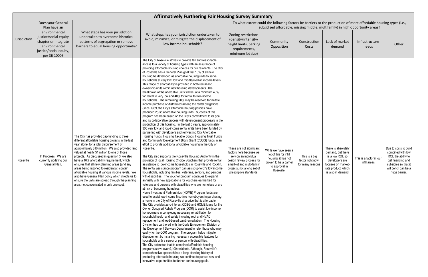|              |                                                                                                                                           |                                                                                                                                                                                                                                                                                                                                                                                                                                                                                                                                                                                                                                                        | <b>Affirmatively Furthering Fair Housing Survey Summary</b>                                                                                                                                                                                                                                                                                                                                                                                                                                                                                                                                                                                                                                                                                                                                                                                                                                                                                                                                                                                                                                                                                                                                                                                                                                                                                                                                                                                                                                                                                                                                                                                                                                                                                                                                                                                                                                                                                                                                                                                                                                                                                                                                                                                                                                                                                                                                                                                                                                                                                                                                                                                                                                                                                                                                                                                                                                                                                                                                                                                                                                                                              |                                                                                                                                                                                                    |                                                                                                                                 |                                                        |                                                                                                                                                  |                                         |                                                                                                                                                         |
|--------------|-------------------------------------------------------------------------------------------------------------------------------------------|--------------------------------------------------------------------------------------------------------------------------------------------------------------------------------------------------------------------------------------------------------------------------------------------------------------------------------------------------------------------------------------------------------------------------------------------------------------------------------------------------------------------------------------------------------------------------------------------------------------------------------------------------------|------------------------------------------------------------------------------------------------------------------------------------------------------------------------------------------------------------------------------------------------------------------------------------------------------------------------------------------------------------------------------------------------------------------------------------------------------------------------------------------------------------------------------------------------------------------------------------------------------------------------------------------------------------------------------------------------------------------------------------------------------------------------------------------------------------------------------------------------------------------------------------------------------------------------------------------------------------------------------------------------------------------------------------------------------------------------------------------------------------------------------------------------------------------------------------------------------------------------------------------------------------------------------------------------------------------------------------------------------------------------------------------------------------------------------------------------------------------------------------------------------------------------------------------------------------------------------------------------------------------------------------------------------------------------------------------------------------------------------------------------------------------------------------------------------------------------------------------------------------------------------------------------------------------------------------------------------------------------------------------------------------------------------------------------------------------------------------------------------------------------------------------------------------------------------------------------------------------------------------------------------------------------------------------------------------------------------------------------------------------------------------------------------------------------------------------------------------------------------------------------------------------------------------------------------------------------------------------------------------------------------------------------------------------------------------------------------------------------------------------------------------------------------------------------------------------------------------------------------------------------------------------------------------------------------------------------------------------------------------------------------------------------------------------------------------------------------------------------------------------------------------------|----------------------------------------------------------------------------------------------------------------------------------------------------------------------------------------------------|---------------------------------------------------------------------------------------------------------------------------------|--------------------------------------------------------|--------------------------------------------------------------------------------------------------------------------------------------------------|-----------------------------------------|---------------------------------------------------------------------------------------------------------------------------------------------------------|
|              | Does your General                                                                                                                         |                                                                                                                                                                                                                                                                                                                                                                                                                                                                                                                                                                                                                                                        |                                                                                                                                                                                                                                                                                                                                                                                                                                                                                                                                                                                                                                                                                                                                                                                                                                                                                                                                                                                                                                                                                                                                                                                                                                                                                                                                                                                                                                                                                                                                                                                                                                                                                                                                                                                                                                                                                                                                                                                                                                                                                                                                                                                                                                                                                                                                                                                                                                                                                                                                                                                                                                                                                                                                                                                                                                                                                                                                                                                                                                                                                                                                          |                                                                                                                                                                                                    | To what extent could the following factors be barriers to the production of more affordable housing types (i.e.,                |                                                        |                                                                                                                                                  |                                         |                                                                                                                                                         |
| Jurisdiction | Plan have an<br>environmental<br>justice/social equity<br>chapter or integrate<br>environmental<br>justice/social equity,<br>per SB 1000? | What steps has your jurisdiction<br>undertaken to overcome historical<br>patterns of segregation or remove<br>barriers to equal housing opportunity?                                                                                                                                                                                                                                                                                                                                                                                                                                                                                                   | What steps has your jurisdiction undertaken to<br>avoid, minimize, or mitigate the displacement of<br>low income households?                                                                                                                                                                                                                                                                                                                                                                                                                                                                                                                                                                                                                                                                                                                                                                                                                                                                                                                                                                                                                                                                                                                                                                                                                                                                                                                                                                                                                                                                                                                                                                                                                                                                                                                                                                                                                                                                                                                                                                                                                                                                                                                                                                                                                                                                                                                                                                                                                                                                                                                                                                                                                                                                                                                                                                                                                                                                                                                                                                                                             | Zoning restrictions<br>(density/intensity/<br>height limits, parking<br>requirements,<br>minimum lot size)                                                                                         | subsidized affordable, missing middle, multifamily) in high opportunity areas?<br>Community<br>Opposition                       | Construction<br>Costs                                  | Lack of market<br>demand                                                                                                                         | Infrastructure<br>needs                 | Other                                                                                                                                                   |
| Roseville    | In Progress. We are<br>currently updating our<br>General Plan.                                                                            | The City has provided gap funding to three<br>different affordable housing projects in the last<br>year alone, for a total disbursement of<br>approximately \$10 million. We also provided land<br>valued at nearly \$1 million to one of those<br>projects. As discussed in question 3, we also<br>have a 10% affordability requirement, which<br>ensures that all new planning areas (and any<br>areas being rezoned to residential) contain<br>affordable housing at various income levels. We<br>also have General Plan policy which directs us to<br>ensure the units are spread through the planning<br>area, not concentrated in only one spot. | The City of Roseville strives to provide fair and reasonable<br>access to a variety of housing types with an assurance of<br>providing affordable housing choices for our residents. The City<br>of Roseville has a General Plan goal that 10% of all new<br>housing be developed as affordable housing units to serve<br>households at very low, low and middle/median income levels.<br>This range of affordability is provided in both rental and<br>ownership units within new housing developments. The<br>breakdown of the affordable units will be, at a minimum 40%<br>for rental to very low and 40% for rental to low-income<br>households. The remaining 20% may be reserved for middle<br>income purchase or distributed among the rental obligations.<br>Since 1989, the City's affordable housing policies have<br>produced 2,935 affordable housing units. Success of this<br>program has been based on the City's commitment to its goal<br>and its collaborative process with development proposals in the<br>production of this housing. In the last 5 years, approximately<br>300 very low and low-income rental units have been funded by<br>partnering with developers and reinvesting City Affordable<br>Housing Funds, Housing Taxable Bonds, Housing Trust Funds<br>and Community Development Block Grant (CDBG) funds in an<br>effort to provide additional affordable housing in the City of<br>Roseville.<br>The City also supports the Roseville Housing Authority in the<br>provision of local Housing Choice Vouchers that provide rental<br>assistance to low-income households in Roseville and Rocklin.<br>The rental assistance program can assist up to 672 low income<br>households, including families, veterans, seniors, and persons<br>with disabilities. The voucher program continues to expand<br>annually with new applications for vouchers earmarked for<br>veterans and persons with disabilities who are homeless or are<br>at risk of becoming homeless.<br>Home Investment Partnerships (HOME) Program funds are<br>used to assist low-income first-time homebuyers in purchasing<br>a home in the City of Roseville at a price that is affordable.<br>The City provides zero-interest CDBG and HOME loans for the<br>Owner Occupied Rehab Program (OOR) to assist low-income<br>homeowners in completing necessary rehabilitation for<br>household health and safety including roof and HVAC<br>replacement and lead-based paint remediation. The Housing<br>Division has partnered with the Code Enforcement Division of<br>the Development Services Department to refer those who may<br>qualify for the OOR program. The program helps mitigate<br>displacement by installing necessary accessible features for<br>households with a senior or person with disabilities.<br>The City estimates that its combined affordable housing<br>programs serve over 9,100 residents. Although, Roseville's<br>comprehensive approach has a long-standing history of<br>producing affordable housing we continue to pursue new and<br>innovative opportunities to further our housing goals. | These are not significant<br>factors here because we<br>rely on an individual<br>design review process for<br>small-lot and multi-family<br>projects, not a long set of<br>prescriptive standards. | While we have seen a<br>lot of this for infill<br>housing, it has not<br>proven to be a barrier<br>to approval in<br>Roseville. | This is a big<br>factor right now,<br>for many reasons | There is absolutely<br>demand, but there<br>is a low ROI, so<br>developers are<br>focuses on market-<br>rate product, which<br>is also in demand | This is a factor in our<br>infill areas | Due to costs to build<br>combined with low<br>ROI, the ability to<br>get financing and<br>subsidies so that it<br>will pencil can be a<br>huge barrier. |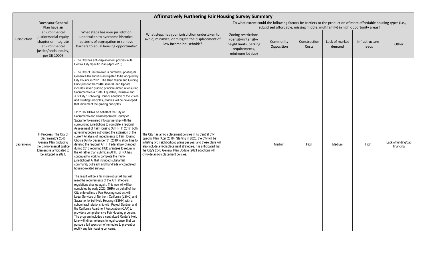|              |                                                                                                                                                            |                                                                                                                                                                                                                                                                                                                                                                                                                                                                                                                                                                                                                                                                                                                                                                                                                                                                                                                                                                                                                                                                                                                                                                                                                                                                                                                                                                                                                                                                                                                                                                                                                                                                                                                                                                                                                                                                                                                                                                                                                                             | <b>Affirmatively Furthering Fair Housing Survey Summary</b>                                                                                                                                                                                                                                                                                                               |                                                                                                            |                                                                                                                                                                                                    |                       |                          |                         |                                  |
|--------------|------------------------------------------------------------------------------------------------------------------------------------------------------------|---------------------------------------------------------------------------------------------------------------------------------------------------------------------------------------------------------------------------------------------------------------------------------------------------------------------------------------------------------------------------------------------------------------------------------------------------------------------------------------------------------------------------------------------------------------------------------------------------------------------------------------------------------------------------------------------------------------------------------------------------------------------------------------------------------------------------------------------------------------------------------------------------------------------------------------------------------------------------------------------------------------------------------------------------------------------------------------------------------------------------------------------------------------------------------------------------------------------------------------------------------------------------------------------------------------------------------------------------------------------------------------------------------------------------------------------------------------------------------------------------------------------------------------------------------------------------------------------------------------------------------------------------------------------------------------------------------------------------------------------------------------------------------------------------------------------------------------------------------------------------------------------------------------------------------------------------------------------------------------------------------------------------------------------|---------------------------------------------------------------------------------------------------------------------------------------------------------------------------------------------------------------------------------------------------------------------------------------------------------------------------------------------------------------------------|------------------------------------------------------------------------------------------------------------|----------------------------------------------------------------------------------------------------------------------------------------------------------------------------------------------------|-----------------------|--------------------------|-------------------------|----------------------------------|
|              | Does your General<br>Plan have an                                                                                                                          |                                                                                                                                                                                                                                                                                                                                                                                                                                                                                                                                                                                                                                                                                                                                                                                                                                                                                                                                                                                                                                                                                                                                                                                                                                                                                                                                                                                                                                                                                                                                                                                                                                                                                                                                                                                                                                                                                                                                                                                                                                             |                                                                                                                                                                                                                                                                                                                                                                           |                                                                                                            | To what extent could the following factors be barriers to the production of more affordable housing types (i.e.,<br>subsidized affordable, missing middle, multifamily) in high opportunity areas? |                       |                          |                         |                                  |
| Jurisdiction | environmental<br>justice/social equity<br>chapter or integrate<br>environmental<br>justice/social equity,<br>per SB 1000?                                  | What steps has your jurisdiction<br>undertaken to overcome historical<br>patterns of segregation or remove<br>barriers to equal housing opportunity?                                                                                                                                                                                                                                                                                                                                                                                                                                                                                                                                                                                                                                                                                                                                                                                                                                                                                                                                                                                                                                                                                                                                                                                                                                                                                                                                                                                                                                                                                                                                                                                                                                                                                                                                                                                                                                                                                        | What steps has your jurisdiction undertaken to<br>avoid, minimize, or mitigate the displacement of<br>low income households?                                                                                                                                                                                                                                              | Zoning restrictions<br>(density/intensity/<br>height limits, parking<br>requirements,<br>minimum lot size) | Community<br>Opposition                                                                                                                                                                            | Construction<br>Costs | Lack of market<br>demand | Infrastructure<br>needs | Other                            |
| Sacramento   | In Progress. The City of<br>Sacramento's 2040<br>General Plan (including<br>the Environmental Justice<br>Element) is anticipated to<br>be adopted in 2021. | . The City has anti-displacement policies in its<br>Central City Specific Plan (April 2018).<br>• The City of Sacramento is currently updating its<br>General Plan and it is anticipated to be adopted by<br>City Council in 2021. The Draft Vision and Guiding<br>Principles for the 2040 General Plan Update<br>includes seven guiding principle aimed at ensuring<br>Sacramento is a "Safe, Equitable, Inclusive and<br>Just City." Following Council adoption of the Vision<br>and Guiding Principles, policies will be developed<br>that implement the guiding principles.<br>. In 2016, SHRA on behalf of the City of<br>Sacramento and Unincorporated County of<br>Sacramento entered into partnership with the<br>surrounding jurisdictions to complete a regional<br>Assessment of Fair Housing (AFH). In 2017, both<br>governing bodies authorized the extension of the<br>current Analysis of Impediments to Fair Housing<br>Choice (AI) to December 31, 2019 to allow time to<br>develop the regional AFH. Federal law changed<br>during 2018 requiring HUD grantees to return to<br>the AI rather than submit an AFH. SHRA has<br>continued to work to complete the multi-<br>jurisdictional AI that included substantial<br>community outreach and hundreds of completed<br>housing-related surveys.<br>The result will be a far more robust AI that will<br>meet the requirements of the AFH if federal<br>regulations change again. This new AI will be<br>completed by early 2020. SHRA on behalf of the<br>City entered into a Fair Housing contract with<br>Legal Services of Northern California (LSNC) and<br>Sacramento Self-Help Housing (SSHH) with a<br>subcontract relationship with Project Sentinel and<br>the California Apartment Association (CAA) to<br>provide a comprehensive Fair Housing program.<br>The program includes a centralized Renter's Help<br>Line with direct referrals to legal counsel that can<br>pursue a full spectrum of remedies to prevent or<br>rectify any fair housing concerns. | The City has anti-displacement policies in its Central City<br>Specific Plan (April 2018). Starting in 2020, the City will be<br>initiating two neighborhood plans per year and these plans will<br>also include anti-displacement strategies. It is anticipated that<br>the City's 2040 General Plan Update (2021 adoption) will<br>citywide anti-displacement policies. |                                                                                                            | Medium                                                                                                                                                                                             | High                  | Medium                   | High                    | Lack of funding/gap<br>financing |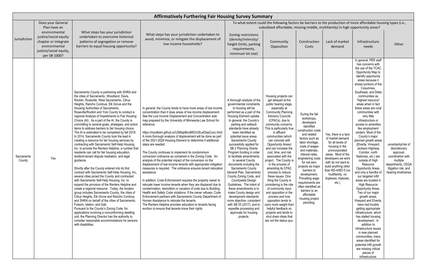|                      |                                                                                                                           |                                                                                                                                                                                                                                                                                                                                                                                                                                                                                                                                                                                                                                                                                                                                                                                                                                                                                                                                                                                                                                                                                                                                                                                                                                                                                                                                                                                                                                                                                                                                                                                                                   | <b>Affirmatively Furthering Fair Housing Survey Summary</b>                                                                                                                                                                                                                                                                                                                                                                                                                                                                                                                                                                                                                                                                                                                                                                                                                                                                                                                                                                                                                                                                                                                                                                                                                                                         |                                                                                                                                                                                                                                                                                                                                                                                                                                                                                                                                                                                                                                                                                                                                                                                            |                                                                                                                                                                                                                                                                                                                                                                                                                                                                                                                                                                                                                                                                                                                                                                          |                                                                                                                                                                                                                                                                                                                                                                                                                     |                                                                                                                                                                                                                                                                           |                                                                                                                                                                                                                                                                                                                                                                                                                                                                                                                                                                                                                                                                                                                                                                                                                                                                                                                                                                                                                                                                                                  |                                                                                                                                                       |
|----------------------|---------------------------------------------------------------------------------------------------------------------------|-------------------------------------------------------------------------------------------------------------------------------------------------------------------------------------------------------------------------------------------------------------------------------------------------------------------------------------------------------------------------------------------------------------------------------------------------------------------------------------------------------------------------------------------------------------------------------------------------------------------------------------------------------------------------------------------------------------------------------------------------------------------------------------------------------------------------------------------------------------------------------------------------------------------------------------------------------------------------------------------------------------------------------------------------------------------------------------------------------------------------------------------------------------------------------------------------------------------------------------------------------------------------------------------------------------------------------------------------------------------------------------------------------------------------------------------------------------------------------------------------------------------------------------------------------------------------------------------------------------------|---------------------------------------------------------------------------------------------------------------------------------------------------------------------------------------------------------------------------------------------------------------------------------------------------------------------------------------------------------------------------------------------------------------------------------------------------------------------------------------------------------------------------------------------------------------------------------------------------------------------------------------------------------------------------------------------------------------------------------------------------------------------------------------------------------------------------------------------------------------------------------------------------------------------------------------------------------------------------------------------------------------------------------------------------------------------------------------------------------------------------------------------------------------------------------------------------------------------------------------------------------------------------------------------------------------------|--------------------------------------------------------------------------------------------------------------------------------------------------------------------------------------------------------------------------------------------------------------------------------------------------------------------------------------------------------------------------------------------------------------------------------------------------------------------------------------------------------------------------------------------------------------------------------------------------------------------------------------------------------------------------------------------------------------------------------------------------------------------------------------------|--------------------------------------------------------------------------------------------------------------------------------------------------------------------------------------------------------------------------------------------------------------------------------------------------------------------------------------------------------------------------------------------------------------------------------------------------------------------------------------------------------------------------------------------------------------------------------------------------------------------------------------------------------------------------------------------------------------------------------------------------------------------------|---------------------------------------------------------------------------------------------------------------------------------------------------------------------------------------------------------------------------------------------------------------------------------------------------------------------------------------------------------------------------------------------------------------------|---------------------------------------------------------------------------------------------------------------------------------------------------------------------------------------------------------------------------------------------------------------------------|--------------------------------------------------------------------------------------------------------------------------------------------------------------------------------------------------------------------------------------------------------------------------------------------------------------------------------------------------------------------------------------------------------------------------------------------------------------------------------------------------------------------------------------------------------------------------------------------------------------------------------------------------------------------------------------------------------------------------------------------------------------------------------------------------------------------------------------------------------------------------------------------------------------------------------------------------------------------------------------------------------------------------------------------------------------------------------------------------|-------------------------------------------------------------------------------------------------------------------------------------------------------|
|                      | Does your General<br>Plan have an                                                                                         |                                                                                                                                                                                                                                                                                                                                                                                                                                                                                                                                                                                                                                                                                                                                                                                                                                                                                                                                                                                                                                                                                                                                                                                                                                                                                                                                                                                                                                                                                                                                                                                                                   |                                                                                                                                                                                                                                                                                                                                                                                                                                                                                                                                                                                                                                                                                                                                                                                                                                                                                                                                                                                                                                                                                                                                                                                                                                                                                                                     |                                                                                                                                                                                                                                                                                                                                                                                                                                                                                                                                                                                                                                                                                                                                                                                            | To what extent could the following factors be barriers to the production of more affordable housing types (i.e.,<br>subsidized affordable, missing middle, multifamily) in high opportunity areas?                                                                                                                                                                                                                                                                                                                                                                                                                                                                                                                                                                       |                                                                                                                                                                                                                                                                                                                                                                                                                     |                                                                                                                                                                                                                                                                           |                                                                                                                                                                                                                                                                                                                                                                                                                                                                                                                                                                                                                                                                                                                                                                                                                                                                                                                                                                                                                                                                                                  |                                                                                                                                                       |
| Jurisdiction         | environmental<br>justice/social equity<br>chapter or integrate<br>environmental<br>justice/social equity,<br>per SB 1000? | What steps has your jurisdiction<br>undertaken to overcome historical<br>patterns of segregation or remove<br>barriers to equal housing opportunity?                                                                                                                                                                                                                                                                                                                                                                                                                                                                                                                                                                                                                                                                                                                                                                                                                                                                                                                                                                                                                                                                                                                                                                                                                                                                                                                                                                                                                                                              | What steps has your jurisdiction undertaken to<br>avoid, minimize, or mitigate the displacement of<br>low income households?                                                                                                                                                                                                                                                                                                                                                                                                                                                                                                                                                                                                                                                                                                                                                                                                                                                                                                                                                                                                                                                                                                                                                                                        | Zoning restrictions<br>(density/intensity/<br>height limits, parking<br>requirements,<br>minimum lot size)                                                                                                                                                                                                                                                                                                                                                                                                                                                                                                                                                                                                                                                                                 | Community<br>Opposition                                                                                                                                                                                                                                                                                                                                                                                                                                                                                                                                                                                                                                                                                                                                                  | Construction<br>Costs                                                                                                                                                                                                                                                                                                                                                                                               | Lack of market<br>demand                                                                                                                                                                                                                                                  | Infrastructure<br>needs                                                                                                                                                                                                                                                                                                                                                                                                                                                                                                                                                                                                                                                                                                                                                                                                                                                                                                                                                                                                                                                                          | Other                                                                                                                                                 |
| Sacramento<br>County | Yes                                                                                                                       | Sacramento County is partnering with SHRA and<br>the cities of Sacramento, Woodland, Davis,<br>Rocklin, Roseville, West Sacramento, Citrus<br>Heights, Rancho Cordova, Elk Grove and the<br>Housing Authorities of Sacramento,<br>Roseville/Rocklin and Yolo County to conduct a<br>regional Analysis of Impediments to Fair Housing<br>Choice (AI). As a part of the AI, the County is<br>committing to several goals, strategies, and action<br>items to address barriers to fair housing choice.<br>The AI is estimated to be completed by fall 2019<br>In 2014, Sacramento County took the lead in<br>creating a resource for fair housing services by<br>contracting with Sacramento Self-Help Housing,<br>Inc. to provide the Renters Helpline, a number that<br>residents can call for fair housing education,<br>landlord-tenant dispute mediation, and legal<br>guidance.<br>Shortly after the County entered into its first<br>contract with Sacramento Self-Help Housing, Inc.<br>several cities joined the County and contracted<br>with Sacramento Self-Help Housing, Inc. to<br>expand the provision of the Renters Helpline and<br>create a regional resource. Today, the funders<br>group includes Sacramento County, the cities of<br>Citrus Heights, Elk Grove and Rancho Cordova,<br>and SHRA on behalf of the cities of Sacramento.<br>Folsom, Isleton, and Galt.<br>Pursuant to the County's Zoning Code, for<br>applications involving a nonconforming dwelling<br>unit, the Planning Director has the authority to<br>consider reasonable accommodations for persons<br>with disabilities. | In general, the County tends to have more areas of low income<br>concentration than it does areas of low income displacement.<br>See the Low Income Displacement and Concentration web<br>map prepared by the University of Minnesota Law School for<br>reference:<br>https://myottetm.github.io/USMapBoxIMO/USLwDispConc.html<br>A more thorough analysis of displacement will be done as part<br>of the 2021-2029 Housing Element to determine if additional<br>steps are needed.<br>The County continues to implement its condominium<br>conversion ordinance as contained in the Zoning Code. An<br>analysis of the potential impact of the conversion on the<br>displacement of low-income tenants with appropriate mitigation<br>measures is required. The ordinance ensures tenant relocation<br>assistance.<br>In addition, Code Enforcement requires the property owner to<br>relocate lower income tenants when they are displaced due to<br>condemnation, demolition or vacation of units due to Building,<br>Health and Safety Code violations. If the owner refuses, Code<br>Enforcement partners with Sacramento County Department of<br>Human Assistance to relocate the tenants.<br>The Renters Helpline provides education to tenants facing<br>eviction to ensure that tenants know their rights. | A thorough analysis of the<br>governmental constraints<br>to housing will be<br>performed as a part of the<br>Housing Element update.<br>In general, the County's<br>parking and setback<br>standards have already<br>been identified as<br>potential issue areas.<br>Sacramento County<br>successfully applied for<br>SB 2 Planning Grants<br>Program funding in order<br>to facilitate amendments<br>to several County<br>documents including the<br>Sacramento County<br>General Plan, Sacramento<br>County Zoning Code, and<br>Countywide Design<br>Guidelines. The intent of<br>these amendments is to<br>make County design and<br>development standards<br>more objective, consistent<br>with SB 35 (2017), and to<br>expedite processing and<br>approvals for housing<br>projects. | Housing projects can<br>get delayed at the<br>public hearing stage,<br>especially at<br><b>Community Planning</b><br><b>Advisory Councils</b><br>(CPACs), due to<br>community concerns.<br>This is particularly true<br>in affluent<br>communities (which<br>can coincide with<br><b>Opportunity Areas)</b><br>and can increase the<br>cost, time, and risk<br>associated with the<br>project. The County is<br>in the process of<br>amending its CPAC<br>process to reduce<br>these issues. One<br>thing the County is<br>considering is the role<br>of community input<br>and opposition in the<br>process and how<br>opposition tends to<br>carry more weight than<br>helpful feedback on<br>projects and tends to<br>shut down ideas that<br>are not the status quo. | During the fall<br>workshops,<br>developers<br>identified<br>construction costs<br>and related<br>factors such as<br>labor shortage,<br>costs of wages<br>and materials,<br>interest rates,<br>engineering costs<br>for net zero<br>projects as major<br>barriers to<br>development.<br>Prevailing wage<br>requirements are<br>often identified as<br>barriers to an<br>affordable<br>housing project<br>penciling. | Yes, there is a lack<br>of market demand<br>for all levels of<br>housing in the<br>unincorporated<br>areas. Most of the<br>developers we work<br>with do not want to<br>build anything other<br>than RD-4/RD-5 (no<br>multifamily, no<br>duplexes, triplexes,<br>$etc.$ ) | In general, PER staff<br>has concerns with<br>the use of the TCAC<br>Opportunity Map to<br>identify opportunity<br>areas because it<br>shows portions of the<br>Cosumnes.<br>Southeast, and Delta<br>communities as<br>"highest resource"<br>areas when in fact<br>these areas are rural<br>communities with<br>very little<br>infrastructure or<br>access to amenities<br>like employment<br>centers. Most of the<br>County's major<br>planned growth areas<br>(Elverta, Vineyard,<br>Jackson Highway<br>Corridor, north<br>Natomas, etc.) are<br>outside of High<br>Resource<br>Opportunity Areas,<br>and only a handful of<br>our targeted infill<br>areas are located in<br><b>High Resource</b><br>Opportunity Areas.<br>Two of our major<br>growth areas,<br>Vineyard and Elverta,<br>have had trouble<br>getting appropriate<br>infrastructure, which<br>has stalled housing<br>development. In<br>addition to<br>infrastructure issues<br>in new planned<br>communities, many<br>areas identified for<br>potential infill growth<br>are missing critical<br>pieces of<br>infrastructure. | uncertainty/risk of<br>discretionary<br>approval,<br>coordination with<br>multiple<br>departments, CEQA<br>litigation risk, and<br>hearing timeframes |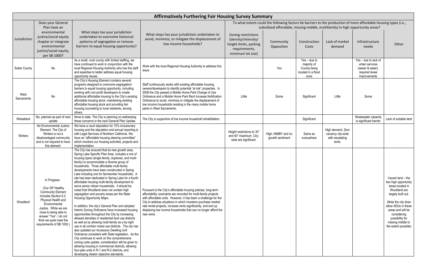|                      |                                                                                                                                                                                                                                                                   |                                                                                                                                                                                                                                                                                                                                                                                                                                                                                                                                                                                                                                                                                                                                                                                                                                                                                                                                                                                                                                                                                                                                                                                                                                                                                                                                    | <b>Affirmatively Furthering Fair Housing Survey Summary</b>                                                                                                                                                                                                                                                                                                                                                           |                                                                                                            |                                                                                                                                                                                                    |                                                                             |                                                                     |                                                                                              |                                                                                                                                                                                                                                                       |
|----------------------|-------------------------------------------------------------------------------------------------------------------------------------------------------------------------------------------------------------------------------------------------------------------|------------------------------------------------------------------------------------------------------------------------------------------------------------------------------------------------------------------------------------------------------------------------------------------------------------------------------------------------------------------------------------------------------------------------------------------------------------------------------------------------------------------------------------------------------------------------------------------------------------------------------------------------------------------------------------------------------------------------------------------------------------------------------------------------------------------------------------------------------------------------------------------------------------------------------------------------------------------------------------------------------------------------------------------------------------------------------------------------------------------------------------------------------------------------------------------------------------------------------------------------------------------------------------------------------------------------------------|-----------------------------------------------------------------------------------------------------------------------------------------------------------------------------------------------------------------------------------------------------------------------------------------------------------------------------------------------------------------------------------------------------------------------|------------------------------------------------------------------------------------------------------------|----------------------------------------------------------------------------------------------------------------------------------------------------------------------------------------------------|-----------------------------------------------------------------------------|---------------------------------------------------------------------|----------------------------------------------------------------------------------------------|-------------------------------------------------------------------------------------------------------------------------------------------------------------------------------------------------------------------------------------------------------|
|                      | Does your General<br>Plan have an                                                                                                                                                                                                                                 |                                                                                                                                                                                                                                                                                                                                                                                                                                                                                                                                                                                                                                                                                                                                                                                                                                                                                                                                                                                                                                                                                                                                                                                                                                                                                                                                    |                                                                                                                                                                                                                                                                                                                                                                                                                       |                                                                                                            | To what extent could the following factors be barriers to the production of more affordable housing types (i.e.,<br>subsidized affordable, missing middle, multifamily) in high opportunity areas? |                                                                             |                                                                     |                                                                                              |                                                                                                                                                                                                                                                       |
| Jurisdiction         | environmental<br>justice/social equity<br>chapter or integrate<br>environmental<br>justice/social equity,<br>per SB 1000?                                                                                                                                         | What steps has your jurisdiction<br>undertaken to overcome historical<br>patterns of segregation or remove<br>barriers to equal housing opportunity?                                                                                                                                                                                                                                                                                                                                                                                                                                                                                                                                                                                                                                                                                                                                                                                                                                                                                                                                                                                                                                                                                                                                                                               | What steps has your jurisdiction undertaken to<br>avoid, minimize, or mitigate the displacement of<br>low income households?                                                                                                                                                                                                                                                                                          | Zoning restrictions<br>(density/intensity/<br>height limits, parking<br>requirements,<br>minimum lot size) | Community<br>Opposition                                                                                                                                                                            | Construction<br>Costs                                                       | Lack of market<br>demand                                            | Infrastructure<br>needs                                                                      | Other                                                                                                                                                                                                                                                 |
| <b>Sutter County</b> | No                                                                                                                                                                                                                                                                | As a small, rural county with limited staffing, we<br>have continued to work in conjunction with the<br>local Regional Housing Authority who has the staff<br>and expertise to better address equal housing<br>opportunity issues.                                                                                                                                                                                                                                                                                                                                                                                                                                                                                                                                                                                                                                                                                                                                                                                                                                                                                                                                                                                                                                                                                                 | Work with the local Regional Housing Authority to address this<br>issue.                                                                                                                                                                                                                                                                                                                                              |                                                                                                            | Yes                                                                                                                                                                                                | $Yes - due to$<br>majority of<br>County being<br>located in a flood<br>zone |                                                                     | Yes - due to lack of<br>urban services<br>(sewer & water),<br>required levee<br>improvements |                                                                                                                                                                                                                                                       |
| West<br>Sacramento   | No                                                                                                                                                                                                                                                                | The City's Housing Element contains several<br>programs designed to overcome segregation/<br>barriers to equal housing opportunity, including<br>working with non-profit developers to create<br>additional affordable housing to the City's existing<br>affordable housing stock, maintaining existing<br>affordable housing stock and providing fair<br>housing counseling to local residents, among<br>others.                                                                                                                                                                                                                                                                                                                                                                                                                                                                                                                                                                                                                                                                                                                                                                                                                                                                                                                  | Staff continuously works with existing affordable housing<br>owners/developers to identify potential "at risk" properties. In<br>2008 the City passed a Mobile Home Park Change of Use<br>Ordinance and a Mobile Home Park Rent Increase Notification<br>Ordinance to avoid, minimize or mitigate the displacement of<br>low income households residing in the many mobile home<br>parks in West Sacramento.          | Little                                                                                                     | Some                                                                                                                                                                                               | Significant                                                                 | Little                                                              | Some                                                                                         |                                                                                                                                                                                                                                                       |
| Wheatland            | No, planned as part of next<br>update                                                                                                                                                                                                                             | None to date. The City is planning on addressing<br>these concerns in the next General Plan Update.                                                                                                                                                                                                                                                                                                                                                                                                                                                                                                                                                                                                                                                                                                                                                                                                                                                                                                                                                                                                                                                                                                                                                                                                                                | The City is supportive of low income household rehabilitation.                                                                                                                                                                                                                                                                                                                                                        |                                                                                                            |                                                                                                                                                                                                    | Significant                                                                 |                                                                     | Wastewater capacity<br>is significant barrier                                                | Lack of suitable land                                                                                                                                                                                                                                 |
| Winters              | No Environmental Justice<br>Element. The City of<br>Winters is not a<br>disadvantaged community<br>and is not required to have<br>this element.                                                                                                                   | We have a court stipulation for 15% inclusionary<br>housing and the stipulation and annual reporting is<br>with Legal Services of Northern California. We<br>have an "affordable housing steering committee"<br>which monitors our housing activities, projects and<br>implementation.                                                                                                                                                                                                                                                                                                                                                                                                                                                                                                                                                                                                                                                                                                                                                                                                                                                                                                                                                                                                                                             |                                                                                                                                                                                                                                                                                                                                                                                                                       | Height restrictions to 30"<br>and 40" maximum, City-<br>wide are significant.                              | High, NIMBY and no<br>growth sentiment                                                                                                                                                             | Same as<br>everywhere                                                       | High demand, Zero<br>vacancy city-wide<br>with escalating<br>rents. |                                                                                              |                                                                                                                                                                                                                                                       |
| Woodland             | In Progress.<br>(Our GP Healthy<br><b>Community Element</b><br>includes Section 6.2:<br>Physical Health and<br>Environmental<br>Justice. While we are<br>close to being able to<br>answer "Yes", I do not<br>think we quite meet the<br>requirements of SB 1000.) | The City has ensured that its new growth area,<br>Spring Lake Specific Plan Area, includes a mix of<br>housing types (single-family, duplexes, and multi-<br>family) to accommodate a diverse group of<br>households. Three affordable multi-family<br>developments have been constructed in Spring<br>Lake including one for farmworker households. A<br>site has been dedicated in Spring Lake for a fourth<br>affordable housing multi-family development to<br>serve senior citizen households. It should be<br>noted that Woodland does not contain high<br>segregation and poverty areas per the State<br>Housing Opportunity Maps.<br>In addition, the city's General Plan and adopted<br>Interim Zoning Ordinance have increased housing<br>opportunities throughout the City by increasing<br>allowed densities in residential land use districts<br>as well as by allowing multi-family as a by-right<br>use in all corridor mixed use districts. The city has<br>also updated our Accessory Dwelling Unit<br>Ordinance consistent with State legislation. As the<br>City continues to work on the comprehensive<br>zoning code update, consideration will be given to<br>allowing housing in commercial districts, allowing<br>four-plex units in R-1 and R-2 districts, and<br>developing clearer objective standards. | Pursuant to the City's affordable housing policies, long-term<br>affordability covenants are recorded for multi-family projects<br>with affordable units. However, it has been a challenge for the<br>City to address situations in which investors purchase market<br>rate rental projects, increase rents significantly, and end up<br>displacing low income households that can no longer afford the<br>new rents. |                                                                                                            |                                                                                                                                                                                                    |                                                                             |                                                                     |                                                                                              | Vacant land - the<br>two high opportunity<br>areas located in<br>Woodland are<br>largely built out.<br>(Note the city does<br>allow ADUs in these<br>areas and will be<br>considering<br>possibility for<br>missing middle to<br>the extent possible) |